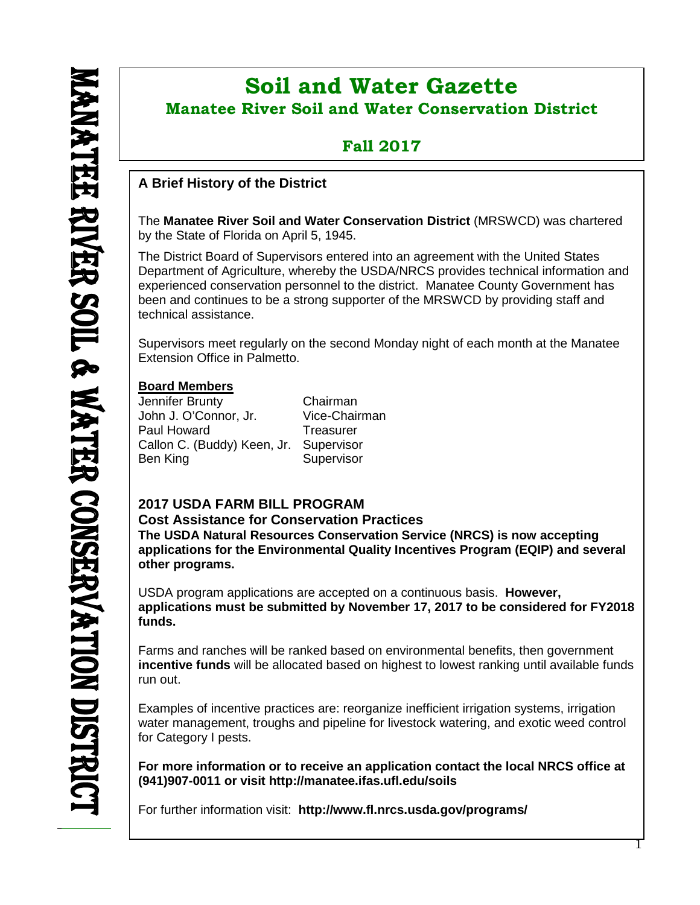ı

# **Soil and Water Gazette Manatee River Soil and Water Conservation District**

## **Fall 2017**

## **A Brief History of the District**

The **Manatee River Soil and Water Conservation District** (MRSWCD) was chartered by the State of Florida on April 5, 1945.

The District Board of Supervisors entered into an agreement with the United States Department of Agriculture, whereby the USDA/NRCS provides technical information and experienced conservation personnel to the district. Manatee County Government has been and continues to be a strong supporter of the MRSWCD by providing staff and technical assistance.

Supervisors meet regularly on the second Monday night of each month at the Manatee Extension Office in Palmetto.

## **Board Members**

Jennifer Brunty Chairman John J. O'Connor, Jr. Paul Howard Treasurer Callon C. (Buddy) Keen, Jr. Supervisor Ben King Supervisor

## **2017 USDA FARM BILL PROGRAM**

**Cost Assistance for Conservation Practices**

**The USDA Natural Resources Conservation Service (NRCS) is now accepting applications for the Environmental Quality Incentives Program (EQIP) and several other programs.**

USDA program applications are accepted on a continuous basis. **However, applications must be submitted by November 17, 2017 to be considered for FY2018 funds.**

Farms and ranches will be ranked based on environmental benefits, then government **incentive funds** will be allocated based on highest to lowest ranking until available funds run out.

Examples of incentive practices are: reorganize inefficient irrigation systems, irrigation water management, troughs and pipeline for livestock watering, and exotic weed control for Category I pests.

**For more information or to receive an application contact the local NRCS office at (941)907-0011 or visit http://manatee.ifas.ufl.edu/soils**

For further information visit: **<http://www.fl.nrcs.usda.gov/programs/>**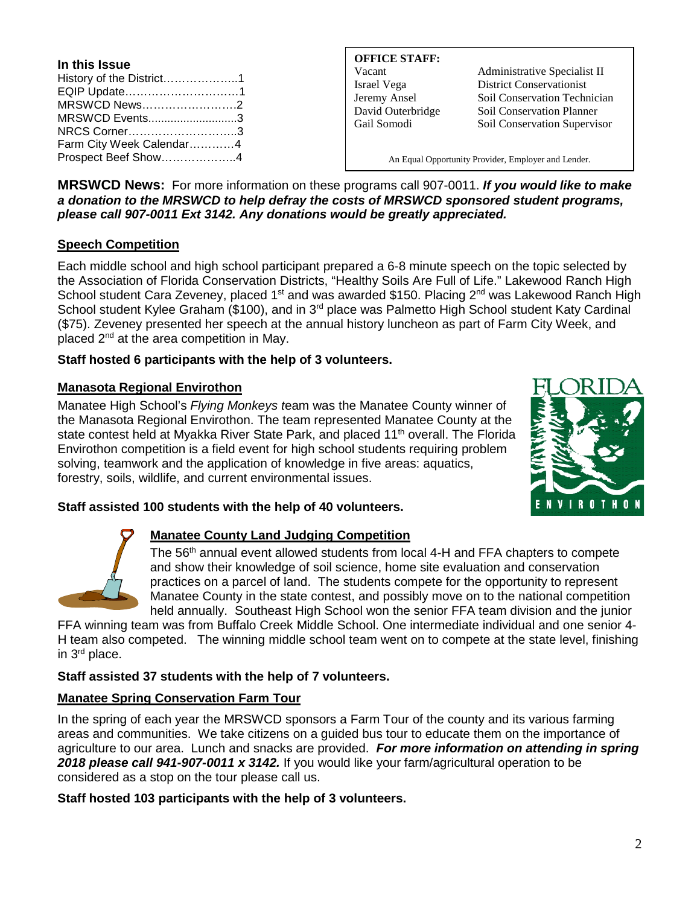**In this Issue** History of the District………………..1 EQIP Update…………………………1 MRSWCD News…………………….2 MRSWCD Events............................3 NRCS Corner………………………..3 Farm City Week Calendar…………4 Prospect Beef Show………………..4

**OFFICE STAFF:**

Vacant Administrative Specialist II Israel Vega District Conservationist Jeremy Ansel Soil Conservation Technician David Outerbridge Soil Conservation Planner Gail Somodi Soil Conservation Supervisor

An Equal Opportunity Provider, Employer and Lender.

**MRSWCD News:** For more information on these programs call 907-0011. *If you would like to make a donation to the MRSWCD to help defray the costs of MRSWCD sponsored student programs, please call 907-0011 Ext 3142. Any donations would be greatly appreciated.*

## **Speech Competition**

Each middle school and high school participant prepared a 6-8 minute speech on the topic selected by the Association of Florida Conservation Districts, "Healthy Soils Are Full of Life." Lakewood Ranch High School student Cara Zeveney, placed 1<sup>st</sup> and was awarded \$150. Placing 2<sup>nd</sup> was Lakewood Ranch High School student Kylee Graham (\$100), and in 3<sup>rd</sup> place was Palmetto High School student Katy Cardinal (\$75). Zeveney presented her speech at the annual history luncheon as part of Farm City Week, and placed  $2^{nd}$  at the area competition in May.

## **Staff hosted 6 participants with the help of 3 volunteers.**

## **Manasota Regional Envirothon**

Manatee High School's *Flying Monkeys t*eam was the Manatee County winner of the Manasota Regional Envirothon. The team represented Manatee County at the state contest held at Myakka River State Park, and placed 11<sup>th</sup> overall. The Florida Envirothon competition is a field event for high school students requiring problem solving, teamwork and the application of knowledge in five areas: aquatics, forestry, soils, wildlife, and current environmental issues.



## **Staff assisted 100 students with the help of 40 volunteers.**



### **Manatee County Land Judging Competition**

The 56<sup>th</sup> annual event allowed students from local 4-H and FFA chapters to compete and show their knowledge of soil science, home site evaluation and conservation practices on a parcel of land. The students compete for the opportunity to represent Manatee County in the state contest, and possibly move on to the national competition held annually. Southeast High School won the senior FFA team division and the junior

FFA winning team was from Buffalo Creek Middle School. One intermediate individual and one senior 4- H team also competed. The winning middle school team went on to compete at the state level, finishing in 3rd place.

### **Staff assisted 37 students with the help of 7 volunteers.**

## **Manatee Spring Conservation Farm Tour**

In the spring of each year the MRSWCD sponsors a Farm Tour of the county and its various farming areas and communities. We take citizens on a guided bus tour to educate them on the importance of agriculture to our area. Lunch and snacks are provided. *For more information on attending in spring 2018 please call 941-907-0011 x 3142.* If you would like your farm/agricultural operation to be considered as a stop on the tour please call us.

**Staff hosted 103 participants with the help of 3 volunteers.**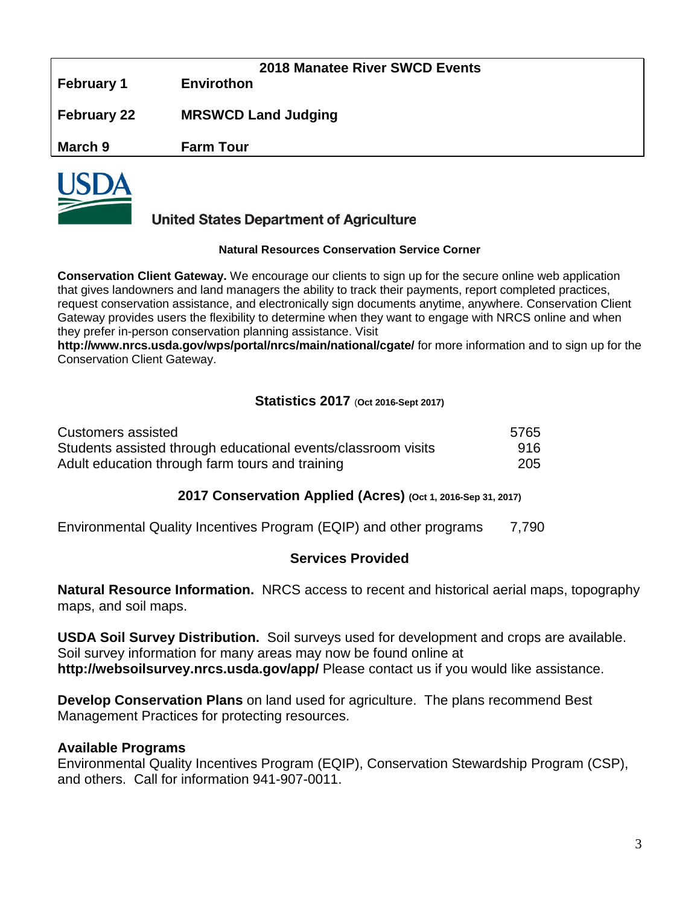|                    | 2018 Manatee River SWCD Events |  |
|--------------------|--------------------------------|--|
| <b>February 1</b>  | <b>Envirothon</b>              |  |
| <b>February 22</b> | <b>MRSWCD Land Judging</b>     |  |
| March 9            | <b>Farm Tour</b>               |  |
|                    |                                |  |



## **United States Department of Agriculture**

#### **Natural Resources Conservation Service Corner**

**Conservation Client Gateway.** We encourage our clients to sign up for the secure online web application that gives landowners and land managers the ability to track their payments, report completed practices, request conservation assistance, and electronically sign documents anytime, anywhere. Conservation Client Gateway provides users the flexibility to determine when they want to engage with NRCS online and when they prefer in-person conservation planning assistance. Visit

**<http://www.nrcs.usda.gov/wps/portal/nrcs/main/national/cgate/>** for more information and to sign up for the Conservation Client Gateway.

## **Statistics 2017** (**Oct 2016-Sept 2017)**

| Customers assisted                                            | 5765 |
|---------------------------------------------------------------|------|
| Students assisted through educational events/classroom visits | 916. |
| Adult education through farm tours and training               | 205  |

## **2017 Conservation Applied (Acres) (Oct 1, 2016-Sep 31, 2017)**

Environmental Quality Incentives Program (EQIP) and other programs 7,790

## **Services Provided**

**Natural Resource Information.** NRCS access to recent and historical aerial maps, topography maps, and soil maps.

**USDA Soil Survey Distribution.** Soil surveys used for development and crops are available. Soil survey information for many areas may now be found online at **<http://websoilsurvey.nrcs.usda.gov/app/>** Please contact us if you would like assistance.

**Develop Conservation Plans** on land used for agriculture. The plans recommend Best Management Practices for protecting resources.

## **Available Programs**

Environmental Quality Incentives Program (EQIP), Conservation Stewardship Program (CSP), and others. Call for information 941-907-0011.